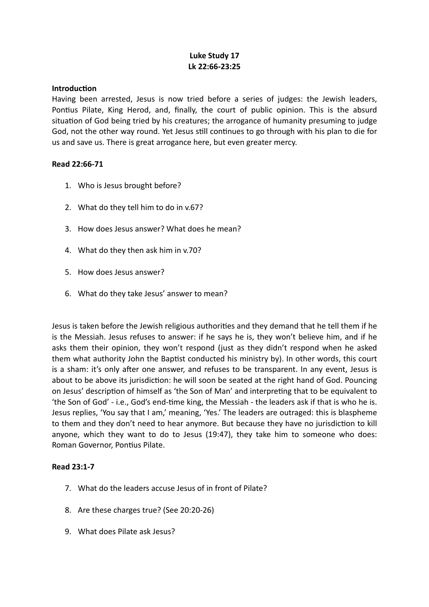## **Luke Study 17 Lk 22:66-23:25**

#### **Introduction**

Having been arrested, Jesus is now tried before a series of judges: the Jewish leaders, Pontius Pilate, King Herod, and, finally, the court of public opinion. This is the absurd situation of God being tried by his creatures; the arrogance of humanity presuming to judge God, not the other way round. Yet Jesus still continues to go through with his plan to die for us and save us. There is great arrogance here, but even greater mercy.

#### **Read 22:66-71**

- 1. Who is Jesus brought before?
- 2. What do they tell him to do in v.67?
- 3. How does Jesus answer? What does he mean?
- 4. What do they then ask him in v.70?
- 5. How does Jesus answer?
- 6. What do they take Jesus' answer to mean?

Jesus is taken before the Jewish religious authorities and they demand that he tell them if he is the Messiah. Jesus refuses to answer: if he says he is, they won't believe him, and if he asks them their opinion, they won't respond (just as they didn't respond when he asked them what authority John the Baptist conducted his ministry by). In other words, this court is a sham: it's only after one answer, and refuses to be transparent. In any event, Jesus is about to be above its jurisdiction: he will soon be seated at the right hand of God. Pouncing on Jesus' description of himself as 'the Son of Man' and interpreting that to be equivalent to 'the Son of God' - i.e., God's end-time king, the Messiah - the leaders ask if that is who he is. Jesus replies, 'You say that I am,' meaning, 'Yes.' The leaders are outraged: this is blaspheme to them and they don't need to hear anymore. But because they have no jurisdiction to kill anyone, which they want to do to Jesus (19:47), they take him to someone who does: Roman Governor, Pontius Pilate.

## **Read 23:1-7**

- 7. What do the leaders accuse Jesus of in front of Pilate?
- 8. Are these charges true? (See 20:20-26)
- 9. What does Pilate ask Jesus?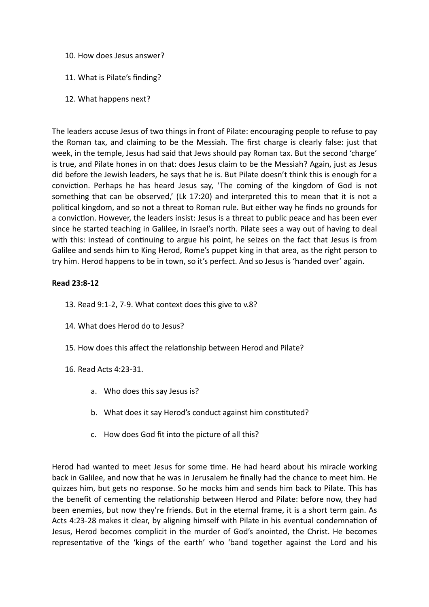- 10. How does Jesus answer?
- 11. What is Pilate's finding?
- 12. What happens next?

The leaders accuse Jesus of two things in front of Pilate: encouraging people to refuse to pay the Roman tax, and claiming to be the Messiah. The first charge is clearly false: just that week, in the temple, Jesus had said that Jews should pay Roman tax. But the second 'charge' is true, and Pilate hones in on that: does Jesus claim to be the Messiah? Again, just as Jesus did before the Jewish leaders, he says that he is. But Pilate doesn't think this is enough for a conviction. Perhaps he has heard Jesus say, 'The coming of the kingdom of God is not something that can be observed,' (Lk 17:20) and interpreted this to mean that it is not a political kingdom, and so not a threat to Roman rule. But either way he finds no grounds for a conviction. However, the leaders insist: Jesus is a threat to public peace and has been ever since he started teaching in Galilee, in Israel's north. Pilate sees a way out of having to deal with this: instead of continuing to argue his point, he seizes on the fact that Jesus is from Galilee and sends him to King Herod, Rome's puppet king in that area, as the right person to try him. Herod happens to be in town, so it's perfect. And so Jesus is 'handed over' again.

# **Read 23:8-12**

- 13. Read 9:1-2, 7-9. What context does this give to v.8?
- 14. What does Herod do to Jesus?
- 15. How does this affect the relationship between Herod and Pilate?
- 16. Read Acts 4:23-31.
	- a. Who does this say Jesus is?
	- b. What does it say Herod's conduct against him constituted?
	- c. How does God fit into the picture of all this?

Herod had wanted to meet Jesus for some time. He had heard about his miracle working back in Galilee, and now that he was in Jerusalem he finally had the chance to meet him. He quizzes him, but gets no response. So he mocks him and sends him back to Pilate. This has the benefit of cementing the relationship between Herod and Pilate: before now, they had been enemies, but now they're friends. But in the eternal frame, it is a short term gain. As Acts 4:23-28 makes it clear, by aligning himself with Pilate in his eventual condemnation of Jesus, Herod becomes complicit in the murder of God's anointed, the Christ. He becomes representative of the 'kings of the earth' who 'band together against the Lord and his